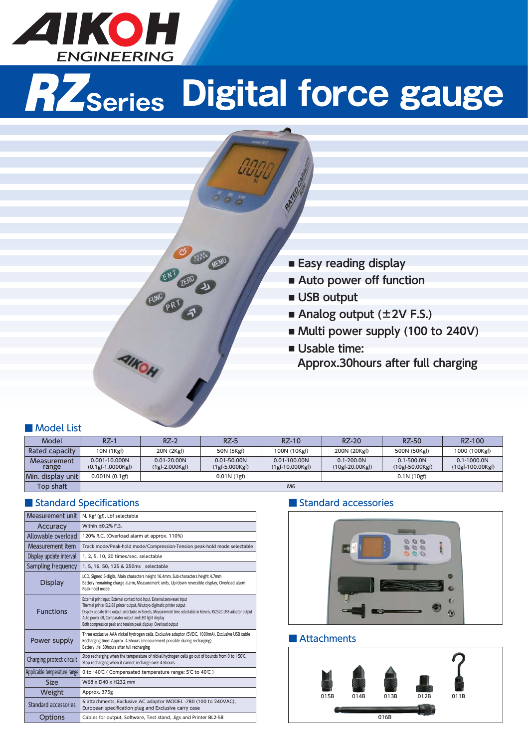

# *RZ***Series Digital force gauge**



- **Auto power off function**
- **USB output**
- **Analog output (±2V F.S.)**
- **Multi power supply (100 to 240V)**
- **Usable time: Approx.30hours after full charging**

#### ■ Model List

| Model                | $RZ-1$                               | $RZ-2$                              | $RZ-5$                              | RZ-10                                 | <b>RZ-20</b>                        | <b>RZ-50</b>                      | RZ-100                              |
|----------------------|--------------------------------------|-------------------------------------|-------------------------------------|---------------------------------------|-------------------------------------|-----------------------------------|-------------------------------------|
| Rated capacity       | 10N (1Kgf)                           | 20N (2Kgf)                          | 50N (5Kgf)                          | 100N (10Kgf)                          | 200N (20Kgf)                        | 500N (50Kgf)                      | 1000 (100Kgf)                       |
| Measurement<br>range | 0.001-10.000N<br>$(0.1gf-1.0000Kgf)$ | $0.01 - 20.00N$<br>$(1gf-2.000Kgf)$ | $0.01 - 50.00N$<br>$(1gf-5.000Kgf)$ | $0.01 - 100.00N$<br>$(1gf-10.000Kgf)$ | $0.1 - 200.0N$<br>$(10gf-20.00Kgf)$ | $0.1 - 500.0N$<br>(10gf-50.00Kgf) | $0.1 - 1000.0N$<br>(10gf-100.00Kgf) |
| Min. display unit    | 0.001N(0.1gf)                        |                                     | 0.01N(1gf)                          |                                       |                                     | 0.1N(10gf)                        |                                     |
| Top shaft            |                                      |                                     |                                     | M <sub>6</sub>                        |                                     |                                   |                                     |

### ■ Standard Specifications

| Measurement unit             | N, Kgf (gf), Lbf selectable                                                                                                                                                                                                                                                                                                                                                                                   |  |  |  |
|------------------------------|---------------------------------------------------------------------------------------------------------------------------------------------------------------------------------------------------------------------------------------------------------------------------------------------------------------------------------------------------------------------------------------------------------------|--|--|--|
| Accuracy                     | Within $\pm 0.2\%$ F.S.                                                                                                                                                                                                                                                                                                                                                                                       |  |  |  |
| Allowable overload           | 120% R.C. (Overload alarm at approx. 110%)                                                                                                                                                                                                                                                                                                                                                                    |  |  |  |
| Measurement item             | Track mode/Peak-hold mode/Compression-Tension peak-hold mode selectable                                                                                                                                                                                                                                                                                                                                       |  |  |  |
| Display update interval      | 1, 2, 5, 10, 20 times/sec. selectable                                                                                                                                                                                                                                                                                                                                                                         |  |  |  |
| Sampling frequency           | 1, 5, 16, 50, 125 & 250ms selectable                                                                                                                                                                                                                                                                                                                                                                          |  |  |  |
| <b>Display</b>               | LCD, Signed 5-digits, Main characters height 16.4mm, Sub-characters height 4.7mm<br>Battery remaining charge alarm, Measurement units, Up/down reversible display, Overload alarm<br>Peak-hold mode                                                                                                                                                                                                           |  |  |  |
| <b>Functions</b>             | External print input, External contact hold input, External zero-reset input<br>Thermal printer BL2-58 printer output, Mitutoyo digimatic printer output<br>Display update time output selectable in Slevels, Measurement time selectable in 6levels, RS232C-USB adaptor output<br>Auto power off, Comparator output and LED light display<br>Both compression peak and tension peak display, Overload output |  |  |  |
| Power supply                 | Three exclusive AAA nickel hydrogen cells, Exclusive adaptor (5VDC, 1000mA), Exclusive USB cable<br>Recharging time: Approx. 4.5hours (measurement possible during recharging)<br>Battery life: 30hours after full recharging                                                                                                                                                                                 |  |  |  |
| Charging protect circuit     | Stop recharging when the temperature of nickel hydrogen cells go out of bounds from 0 to +50°C.<br>Stop recharging when it cannot recharge over 4.5hours.                                                                                                                                                                                                                                                     |  |  |  |
| Applicable temperature range | 0 to+40℃ (Compensated temperature range: 5℃ to 40℃)                                                                                                                                                                                                                                                                                                                                                           |  |  |  |
| Size                         | W68 x D40 x H232 mm                                                                                                                                                                                                                                                                                                                                                                                           |  |  |  |
| Weight                       | Approx. 375g                                                                                                                                                                                                                                                                                                                                                                                                  |  |  |  |
| <b>Standard accessories</b>  | 6 attachments, Exclusive AC adaptor MODEL -780 (100 to 240VAC),<br>European specification plug and Exclusive carry case                                                                                                                                                                                                                                                                                       |  |  |  |
| <b>Options</b>               | Cables for output, Software, Test stand, Jigs and Printer BL2-58                                                                                                                                                                                                                                                                                                                                              |  |  |  |

alkon

ENT GEN 23

#### ■ Standard accessories



#### ■ Attachments